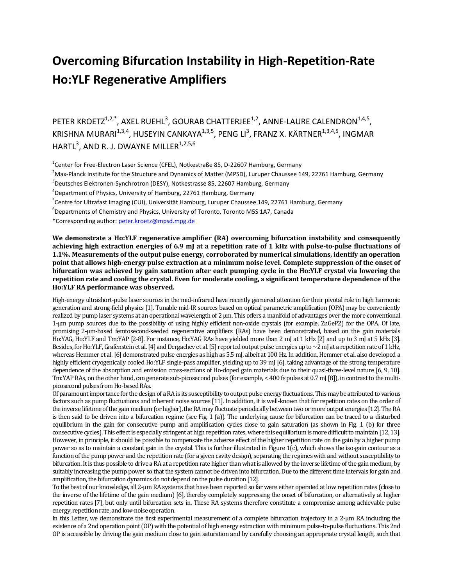## **Overcoming Bifurcation Instability in High-Repetition-Rate Ho:YLF Regenerative Amplifiers**

PETER KROETZ $1,2,3}$ , AXEL RUEHL<sup>3</sup>, GOURAB CHATTERJEE<sup>1,2</sup>, ANNE-LAURE CALENDRON $1,4,5$ , KRISHNA MURARI $^{1,3,4}$ , HUSEYIN CANKAYA $^{1,3,5}$ , PENG LI $^3$ , FRANZ X. KÄRTNER $^{1,3,4,5}$ , INGMAR  $\mathsf{HARTL}^3$ , AND R. J. DWAYNE MILLER $^{1,2,5,6}$ 

<sup>1</sup>Center for Free-Electron Laser Science (CFEL), Notkestraße 85, D-22607 Hamburg, Germany

 $<sup>2</sup>$ Max-Planck Institute for the Structure and Dynamics of Matter (MPSD), Luruper Chaussee 149, 22761 Hamburg, Germany</sup>

<sup>3</sup>Deutsches Elektronen-Synchrotron (DESY), Notkestrasse 85, 22607 Hamburg, Germany

4 Department of Physics, University of Hamburg, 22761 Hamburg, Germany

<sup>5</sup>Centre for Ultrafast Imaging (CUI), Universität Hamburg, Luruper Chaussee 149, 22761 Hamburg, Germany

6 Departments of Chemistry and Physics, University of Toronto, Toronto M5S 1A7, Canada

\*Corresponding author[: peter.kroetz@mpsd.mpg.de](mailto:peter.kroetz@mpsd.mpg.de)

**We demonstrate a Ho:YLF regenerative amplifier (RA) overcoming bifurcation instability and consequently achieving high extraction energies of 6.9 mJ at a repetition rate of 1 kHz with pulse-to-pulse fluctuations of 1.1%. Measurements of the output pulse energy, corroborated by numerical simulations, identify an operation point that allows high-energy pulse extraction at a minimum noise level. Complete suppression of the onset of bifurcation was achieved by gain saturation after each pumping cycle in the Ho:YLF crystal via lowering the repetition rate and cooling the crystal. Even for moderate cooling, a significant temperature dependence of the Ho:YLF RA performance was observed.**

High-energy ultrashort-pulse laser sources in the mid-infrared have recently garnered attention for their pivotal role in high harmonic generation and strong-field physics [1]. Tunable mid-IR sources based on optical parametric amplification (OPA) may be conveniently realized by pump laser systems at an operational wavelength of 2 μm. This offers a manifold of advantages over the more conventional 1-μm pump sources due to the possibility of using highly efficient non-oxide crystals (for example, ZnGeP2) for the OPA. Of late, promising 2-µm-based femtosecond-seeded regenerative amplifiers (RAs) have been demonstrated, based on the gain materials Ho:YAG, Ho:YLF and Tm:YAP [2-8]. For instance, Ho:YAG RAs have yielded more than 2 mJ at 1 kHz [2] and up to 3 mJ at 5 kHz [3]. Besides, for Ho:YLF, Grafenstein et al. [4] and Dergachev et al. [5] reported output pulse energies up to  $\sim$ 2 mJ at a repetition rate of 1 kHz, whereas Hemmer et al. [6] demonstrated pulse energies as high as 5.5 mJ, albeit at 100 Hz. In addition, Hemmer et al. also developed a highly efficient cryogenically cooled Ho:YLF single-pass amplifier, yielding up to 39 mJ [6], taking advantage of the strong temperature dependence of the absorption and emission cross-sections of Ho-doped gain materials due to their quasi-three-level nature [6, 9, 10]. Tm:YAP RAs, on the other hand, can generate sub-picosecond pulses (for example, < 400 fs pulses at 0.7 mJ [8]), in contrast to the multipicosecond pulses from Ho-based RAs.

Of paramount importance for the design of a RA is its susceptibility to output pulse energy fluctuations. This may be attributed to various factors such as pump fluctuations and inherent noise sources [11]. In addition, it is well-known that for repetition rates on the order of the inverse lifetime of the gain medium (or higher), the RA may fluctuate periodically between two or more output energies [12]. The RA is then said to be driven into a bifurcation regime (see Fig. 1 (a)). The underlying cause for bifurcation can be traced to a disturbed equilibrium in the gain for consecutive pump and amplification cycles close to gain saturation (as shown in Fig. 1 (b) for three consecutive cycles). This effect is especially stringent at high repetition rates, where this equilibrium is more difficult to maintain [12, 13]. However, in principle, it should be possible to compensate the adverse effect of the higher repetition rate on the gain by a higher pump power so as to maintain a constant gain in the crystal. This is further illustrated in Figure 1(c), which shows the iso-gain contour as a function of the pump power and the repetition rate (for a given cavity design), separating the regimes with and without susceptibility to bifurcation. It is thus possible to drive a RA at a repetition rate higher than what is allowed by the inverse lifetime of the gain medium, by suitably increasing the pump power so that the system cannot be driven into bifurcation. Due to the different time intervals for gain and amplification, the bifurcation dynamics do not depend on the pulse duration [12].

To the best of our knowledge, all 2-µm RA systems that have been reported so far were either operated at low repetition rates (close to the inverse of the lifetime of the gain medium) [6], thereby completely suppressing the onset of bifurcation, or alternatively at higher repetition rates [7], but only until bifurcation sets in. These RA systems therefore constitute a compromise among achievable pulse energy, repetition rate, and low-noise operation.

In this Letter, we demonstrate the first experimental measurement of a complete bifurcation trajectory in a 2-μm RA including the existence of a 2nd operation point (OP) with the potential of high energy extraction with minimum pulse-to-pulse fluctuations. This 2nd OP is accessible by driving the gain medium close to gain saturation and by carefully choosing an appropriate crystal length, such that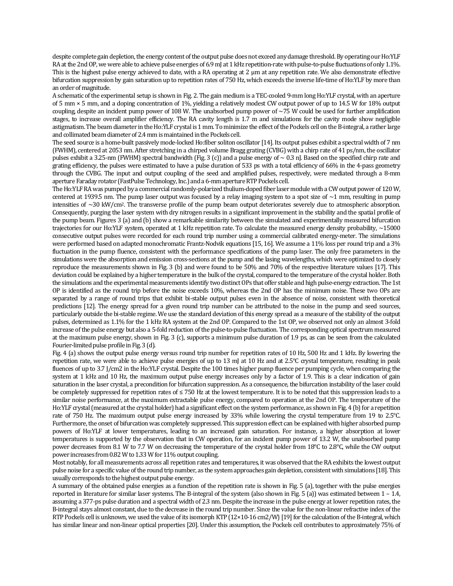despite complete gain depletion, the energy content of the output pulse does not exceed any damage threshold. By operating our Ho:YLF RA at the 2nd OP, we were able to achieve pulse energies of 6.9 mJ at 1 kHz repetition-rate with pulse-to-pulse fluctuations of only 1.1%. This is the highest pulse energy achieved to date, with a RA operating at 2 μm at any repetition rate. We also demonstrate effective bifurcation suppression by gain saturation up to repetition rates of 750 Hz, which exceeds the inverse life-time of Ho:YLF by more than an order of magnitude.

A schematic of the experimental setup is shown in Fig. 2. The gain medium is a TEC-cooled 9-mm long Ho:YLF crystal, with an aperture of 5 mm × 5 mm, and a doping concentration of 1%, yielding a relatively modest CW output power of up to 14.5 W for 18% output coupling, despite an incident pump power of 108 W. The unabsorbed pump power of  $\sim$ 75 W could be used for further amplification stages, to increase overall amplifier efficiency. The RA cavity length is 1.7 m and simulations for the cavity mode show negligible astigmatism. The beam diameter in the Ho:YLF crystal is 1 mm. To minimize the effect of the Pockels cell on the B-integral, a rather large and collimated beam diameter of 2.4 mm is maintained in the Pockels cell.

The seed source is a home-built passively mode-locked Ho:fiber soliton oscillator [14]. Its output pulses exhibit a spectral width of 7 nm (FWHM), centered at 2053 nm. After stretching in a chirped volume Bragg grating (CVBG) with a chirp rate of 41 ps/nm, the oscillator pulses exhibit a 3.25-nm (FWHM) spectral bandwidth (Fig. 3 (c)) and a pulse energy of  $\sim$  0.3 nJ. Based on the specified chirp rate and grating efficiency, the pulses were estimated to have a pulse duration of 533 ps with a total efficiency of 66% in the 4-pass geometry through the CVBG. The input and output coupling of the seed and amplified pulses, respectively, were mediated through a 8-mm aperture Faraday rotator (FastPulse Technology, Inc.) and a 6-mm aperture RTP Pockels cell.

The Ho:YLF RA was pumped by a commercial randomly-polarized thulium-doped fiber laser module with a CW output power of 120 W, centered at 1939.5 nm. The pump laser output was focused by a relay imaging system to a spot size of  $\sim$ 1 mm, resulting in pump intensities of ~30 kW/cm<sup>2</sup>. The transverse profile of the pump beam output deteriorates severely due to atmospheric absorption. Consequently, purging the laser system with dry nitrogen results in a significant improvement in the stability and the spatial profile of the pump beam. Figures 3 (a) and (b) show a remarkable similarity between the simulated and experimentally measured bifurcation trajectories for our Ho:YLF system, operated at 1 kHz repetition rate. To calculate the measured energy density probability, ~15000 consecutive output pulses were recorded for each round trip number using a commercial calibrated energy-meter. The simulations were performed based on adapted monochromatic Frantz-Nodvik equations [15, 16]. We assume a 11% loss per round trip and a 3% fluctuation in the pump fluence, consistent with the performance specifications of the pump laser. The only free parameters in the simulations were the absorption and emission cross-sections at the pump and the lasing wavelengths, which were optimized to closely reproduce the measurements shown in Fig. 3 (b) and were found to be 50% and 70% of the respective literature values [17]. This deviation could be explained by a higher temperature in the bulk of the crystal, compared to the temperature of the crystal holder. Both the simulations and the experimental measurements identify two distinct OPs that offer stable and high pulse-energy extraction. The 1st OP is identified as the round trip before the noise exceeds 10%, whereas the 2nd OP has the minimum noise. These two OPs are separated by a range of round trips that exhibit bi-stable output pulses even in the absence of noise, consistent with theoretical predictions [12]. The energy spread for a given round trip number can be attributed to the noise in the pump and seed sources, particularly outside the bi-stable regime. We use the standard deviation of this energy spread as a measure of the stability of the output pulses, determined as 1.1% for the 1 kHz RA system at the 2nd OP. Compared to the 1st OP, we observed not only an almost 3-fold increase of the pulse energy but also a 5-fold reduction of the pulse-to-pulse fluctuation. The corresponding optical spectrum measured at the maximum pulse energy, shown in Fig. 3 (c), supports a minimum pulse duration of 1.9 ps, as can be seen from the calculated Fourier-limited pulse profile in Fig. 3 (d).

Fig. 4 (a) shows the output pulse energy versus round trip number for repetition rates of 10 Hz, 500 Hz and 1 kHz. By lowering the repetition rate, we were able to achieve pulse energies of up to 13 mJ at 10 Hz and at 2.5°C crystal temperature, resulting in peak fluences of up to 3.7 J/cm2 in the Ho:YLF crystal. Despite the 100 times higher pump fluence per pumping cycle, when comparing the system at 1 kHz and 10 Hz, the maximum output pulse energy increases only by a factor of 1.9. This is a clear indication of gain saturation in the laser crystal, a precondition for bifurcation suppression. As a consequence, the bifurcation instability of the laser could be completely suppressed for repetition rates of ≤ 750 Hz at the lowest temperature. It is to be noted that this suppression leads to a similar noise performance, at the maximum extractable pulse energy, compared to operation at the 2nd OP. The temperature of the Ho:YLF crystal (measured at the crystal holder) had a significant effect on the system performance, as shown in Fig. 4 (b) for a repetition rate of 750 Hz. The maximum output pulse energy increased by 33% while lowering the crystal temperature from 19 to 2.5°C. Furthermore, the onset of bifurcation was completely suppressed. This suppression effect can be explained with higher absorbed pump powers of Ho:YLF at lower temperatures, leading to an increased gain saturation. For instance, a higher absorption at lower temperatures is supported by the observation that in CW operation, for an incident pump power of 13.2 W, the unabsorbed pump power decreases from 8.1 W to 7.7 W on decreasing the temperature of the crystal holder from 18°C to 2.8°C, while the CW output power increases from 0.82 W to 1.33 W for 11% output coupling.

Most notably, for all measurements across all repetition rates and temperatures, it was observed that the RA exhibits the lowest output pulse noise for a specific value of the round trip number, as the system approaches gain depletion, consistent with simulations [18]. This usually corresponds to the highest output pulse energy.

A summary of the obtained pulse energies as a function of the repetition rate is shown in Fig. 5 (a), together with the pulse energies reported in literature for similar laser systems. The B-integral of the system (also shown in Fig. 5 (a)) was estimated between  $1 - 1.4$ , assuming a 377-ps pulse duration and a spectral width of 2.3 nm. Despite the increase in the pulse energy at lower repetition rates, the B-integral stays almost constant, due to the decrease in the round trip number. Since the value for the non-linear refractive index of the RTP Pockels cell is unknown, we used the value of its isomorph KTP (12×10-16 cm2/W) [19] for the calculation of the B-integral, which has similar linear and non-linear optical properties [20]. Under this assumption, the Pockels cell contributes to approximately 75% of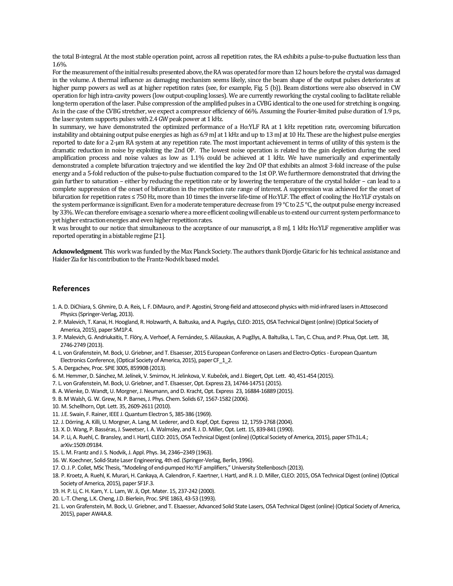the total B-integral. At the most stable operation point, across all repetition rates, the RA exhibits a pulse-to-pulse fluctuation less than 1.6%.

For the measurement of the initial results presented above, the RA was operated for more than 12 hours before the crystal was damaged in the volume. A thermal influence as damaging mechanism seems likely, since the beam shape of the output pulses deteriorates at higher pump powers as well as at higher repetition rates (see, for example, Fig. 5 (b)). Beam distortions were also observed in CW operation for high intra-cavity powers (low output-coupling losses). We are currently reworking the crystal cooling to facilitate reliable long-term operation of the laser. Pulse compression of the amplified pulses in a CVBG identical to the one used for stretching is ongoing. As in the case of the CVBG stretcher, we expect a compressor efficiency of 66%. Assuming the Fourier-limited pulse duration of 1.9 ps, the laser system supports pulses with 2.4 GW peak power at 1 kHz.

In summary, we have demonstrated the optimized performance of a Ho:YLF RA at 1 kHz repetition rate, overcoming bifurcation instability and obtaining output pulse energies as high as 6.9 mJ at 1 kHz and up to 13 mJ at 10 Hz. These are the highest pulse energies reported to date for a 2-μm RA system at any repetition rate. The most important achievement in terms of utility of this system is the dramatic reduction in noise by exploiting the 2nd OP. The lowest noise operation is related to the gain depletion during the seed amplification process and noise values as low as 1.1% could be achieved at 1 kHz. We have numerically and experimentally demonstrated a complete bifurcation trajectory and we identified the key 2nd OP that exhibits an almost 3-fold increase of the pulse energy and a 5-fold reduction of the pulse-to-pulse fluctuation compared to the 1st OP. We furthermore demonstrated that driving the gain further to saturation – either by reducing the repetition rate or by lowering the temperature of the crystal holder – can lead to a complete suppression of the onset of bifurcation in the repetition rate range of interest. A suppression was achieved for the onset of bifurcation for repetition rates ≤ 750 Hz, more than 10 times the inverse life-time of Ho:YLF. The effect of cooling the Ho:YLF crystals on the system performance is significant. Even for a moderate temperature decrease from 19 °C to 2.5 °C, the output pulse energy increased by 33%. We can therefore envisage a scenario where a more efficient cooling will enable us to extend our current system performance to yet higher extraction energies and even higher repetition rates.

It was brought to our notice that simultaneous to the acceptance of our manuscript, a 8 mJ, 1 kHz Ho:YLF regenerative amplifier was reported operating in a bistable regime [21].

**Acknowledgment**. This work was funded by the Max Planck Society. The authors thank Djordje Gitaric for his technical assistance and Haider Zia for his contribution to the Frantz-Nodvik based model.

## **References**

- 1. A. D. DiChiara, S. Ghmire, D. A. Reis, L. F. DiMauro, and P. Agostini, Strong-field and attosecond physics with mid-infrared lasers in Attosecond Physics (Springer-Verlag, 2013).
- 2. P. Malevich, T. Kanai, H. Hoogland, R. Holzwarth, A. Baltuska, and A. Pugzlys, CLEO: 2015, OSA Technical Digest (online) (Optical Society of America, 2015), paper SM1P.4.
- 3. P. Malevich, G. Andriukaitis, T. Flöry, A. Verhoef, A. Fernández, S. Ališauskas, A. Pugžlys, A. Baltuška, L. Tan, C. Chua, and P. Phua, Opt. Lett. 38, 2746-2749 (2013).
- 4. L. von Grafenstein, M. Bock, U. Griebner, and T. Elsaesser, 2015 European Conference on Lasers and Electro-Optics European Quantum Electronics Conference, (Optical Society of America, 2015), paper CF 1 2.
- 5. A. Dergachev, Proc. SPIE 3005, 85990B (2013).
- 6. M. Hemmer, D. Sánchez, M. Jelínek, V. Smirnov, H. Jelinkova, V. Kubeček, and J. Biegert, Opt. Lett. 40, 451-454 (2015).
- 7. L. von Grafenstein, M. Bock, U. Griebner, and T. Elsaesser, Opt. Express 23, 14744-14751 (2015).
- 8. A. Wienke, D. Wandt, U. Morgner, J. Neumann, and D. Kracht, Opt. Express 23, 16884-16889 (2015).
- 9. B. M Walsh, G. W. Grew, N. P. Barnes, J. Phys. Chem. Solids 67, 1567-1582 (2006).
- 10. M. Schellhorn, Opt. Lett. 35, 2609-2611 (2010).
- 11. J.E. Swain, F. Rainer, IEEE J. Quantum Electron 5, 385-386 (1969).
- 12. J. Dörring, A. Killi, U. Morgner, A. Lang, M. Lederer, and D. Kopf, Opt. Express 12, 1759-1768 (2004).
- 13. X. D. Wang, P. Basséras, J. Sweetser, I. A. Walmsley, and R. J. D. Miller, Opt. Lett. 15, 839-841 (1990).
- 14. P. Li, A. Ruehl, C. Bransley, and I. Hartl, CLEO: 2015, OSA Technical Digest (online) (Optical Society of America, 2015), paper STh1L.4.; arXiv:1509.09184.
- 15. L. M. Frantz and J. S. Nodvik, J. Appl. Phys. 34, 2346–2349 (1963).
- 16. W. Koechner, Solid-State Laser Engineering, 4th ed. (Springer-Verlag, Berlin, 1996).
- 17. O. J. P. Collet, MSc Thesis, "Modeling of end-pumped Ho:YLF amplifiers," University Stellenbosch (2013).
- 18. P. Kroetz, A. Ruehl, K. Murari, H. Cankaya, A. Calendron, F. Kaertner, I. Hartl, and R. J. D. Miller, CLEO: 2015, OSA Technical Digest (online) (Optical Society of America, 2015), paper SF1F.3.
- 19. H. P. Li, C. H. Kam, Y. L. Lam, W. Ji, Opt. Mater. 15, 237-242 (2000).
- 20. L.-T. Cheng, L.K. Cheng, J.D. Bierlein, Proc. SPIE 1863, 43-53 (1993).
- 21. L. von Grafenstein, M. Bock, U. Griebner, and T. Elsaesser, Advanced Solid State Lasers, OSA Technical Digest (online) (Optical Society of America, 2015), paper AW4A.8.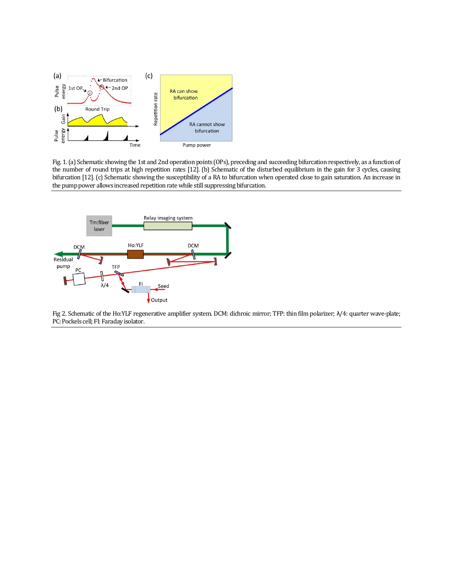

Fig. 1. (a) Schematic showing the 1st and 2nd operation points (OPs), preceding and succeeding bifurcation respectively, as a function of the number of round trips at high repetition rates [12]. (b) Schematic of the disturbed equilibrium in the gain for 3 cycles, causing bifurcation [12]. (c) Schematic showing the susceptibility of a RA to bifurcation when operated close to gain saturation. An increase in the pump power allows increased repetition rate while still suppressing bifurcation.



Fig 2. Schematic of the Ho:YLF regenerative amplifier system. DCM: dichroic mirror; TFP: thin film polarizer; λ/4: quarter wave-plate; PC: Pockels cell; FI: Faraday isolator.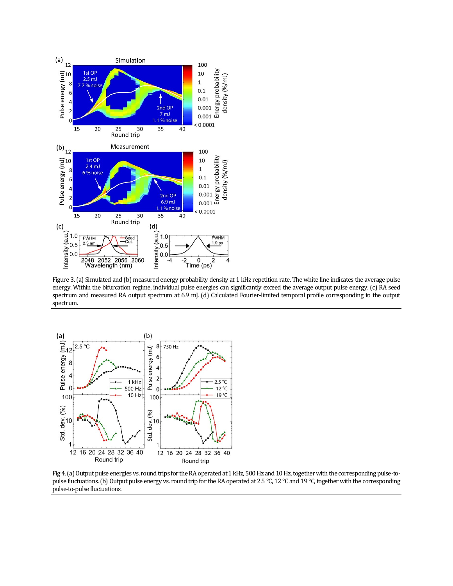

Figure 3. (a) Simulated and (b) measured energy probability density at 1 kHz repetition rate. The white line indicates the average pulse energy. Within the bifurcation regime, individual pulse energies can significantly exceed the average output pulse energy. (c) RA seed spectrum and measured RA output spectrum at 6.9 mJ. (d) Calculated Fourier-limited temporal profile corresponding to the output spectrum.



Fig 4. (a) Output pulse energies vs. round trips for the RA operated at 1 kHz, 500 Hz and 10 Hz, together with the corresponding pulse-topulse fluctuations. (b) Output pulse energy vs. round trip for the RA operated at 2.5 °C, 12 °C and 19 °C, together with the corresponding pulse-to-pulse fluctuations.